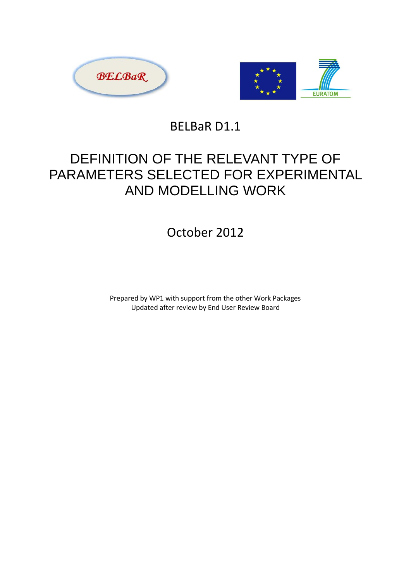



BELBaR D1.1

# DEFINITION OF THE RELEVANT TYPE OF PARAMETERS SELECTED FOR EXPERIMENTAL AND MODELLING WORK

# October 2012

Prepared by WP1 with support from the other Work Packages Updated after review by End User Review Board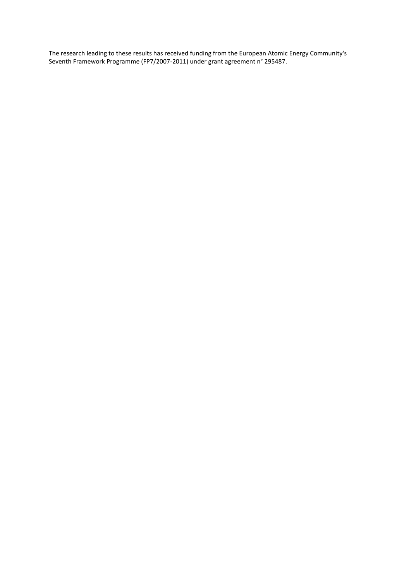The research leading to these results has received funding from the European Atomic Energy Community's Seventh Framework Programme (FP7/2007-2011) under grant agreement n° 295487.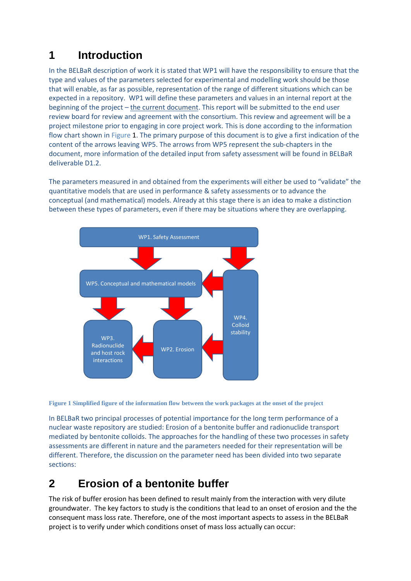## **1 Introduction**

In the BELBaR description of work it is stated that WP1 will have the responsibility to ensure that the type and values of the parameters selected for experimental and modelling work should be those that will enable, as far as possible, representation of the range of different situations which can be expected in a repository. WP1 will define these parameters and values in an internal report at the beginning of the project – the current document. This report will be submitted to the end user review board for review and agreement with the consortium. This review and agreement will be a project milestone prior to engaging in core project work. This is done according to the information flow chart shown i[n Figure 1.](#page-2-0) The primary purpose of this document is to give a first indication of the content of the arrows leaving WP5. The arrows from WP5 represent the sub-chapters in the document, more information of the detailed input from safety assessment will be found in BELBaR deliverable D1.2.

The parameters measured in and obtained from the experiments will either be used to "validate" the quantitative models that are used in performance & safety assessments or to advance the conceptual (and mathematical) models. Already at this stage there is an idea to make a distinction between these types of parameters, even if there may be situations where they are overlapping.



<span id="page-2-0"></span>**Figure 1 Simplified figure of the information flow between the work packages at the onset of the project**

In BELBaR two principal processes of potential importance for the long term performance of a nuclear waste repository are studied: Erosion of a bentonite buffer and radionuclide transport mediated by bentonite colloids. The approaches for the handling of these two processes in safety assessments are different in nature and the parameters needed for their representation will be different. Therefore, the discussion on the parameter need has been divided into two separate sections:

## **2 Erosion of a bentonite buffer**

The risk of buffer erosion has been defined to result mainly from the interaction with very dilute groundwater. The key factors to study is the conditions that lead to an onset of erosion and the the consequent mass loss rate. Therefore, one of the most important aspects to assess in the BELBaR project is to verify under which conditions onset of mass loss actually can occur: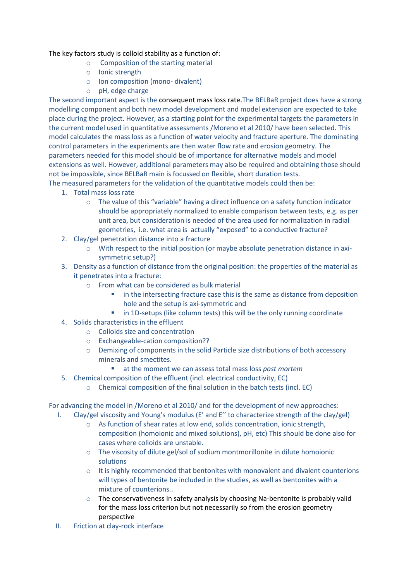#### The key factors study is colloid stability as a function of:

- o Composition of the starting material
- o Ionic strength
- o Ion composition (mono- divalent)
- o pH, edge charge

The second important aspect is the consequent mass loss rate.The BELBaR project does have a strong modelling component and both new model development and model extension are expected to take place during the project. However, as a starting point for the experimental targets the parameters in the current model used in quantitative assessments /Moreno et al 2010/ have been selected. This model calculates the mass loss as a function of water velocity and fracture aperture. The dominating control parameters in the experiments are then water flow rate and erosion geometry. The parameters needed for this model should be of importance for alternative models and model extensions as well. However, additional parameters may also be required and obtaining those should not be impossible, since BELBaR main is focussed on flexible, short duration tests.

The measured parameters for the validation of the quantitative models could then be:

- 1. Total mass loss rate
	- o The value of this "variable" having a direct influence on a safety function indicator should be appropriately normalized to enable comparison between tests, e.g. as per unit area, but consideration is needed of the area used for normalization in radial geometries, i.e. what area is actually "exposed" to a conductive fracture?
- 2. Clay/gel penetration distance into a fracture
	- $\circ$  With respect to the initial position (or maybe absolute penetration distance in axisymmetric setup?)
- 3. Density as a function of distance from the original position: the properties of the material as it penetrates into a fracture:
	- o From what can be considered as bulk material
		- in the intersecting fracture case this is the same as distance from deposition hole and the setup is axi-symmetric and
		- **in 1D-setups (like column tests) this will be the only running coordinate**
- 4. Solids characteristics in the effluent
	- o Colloids size and concentration
	- o Exchangeable-cation composition??
	- o Demixing of components in the solid Particle size distributions of both accessory minerals and smectites.
		- at the moment we can assess total mass loss *post mortem*
- 5. Chemical composition of the effluent (incl. electrical conductivity, EC)
	- o Chemical composition of the final solution in the batch tests (incl. EC)

For advancing the model in /Moreno et al 2010/ and for the development of new approaches:

- I. Clay/gel viscosity and Young's modulus (E' and E'' to characterize strength of the clay/gel)
	- o As function of shear rates at low end, solids concentration, ionic strength, composition (homoionic and mixed solutions), pH, etc) This should be done also for cases where colloids are unstable.
	- o The viscosity of dilute gel/sol of sodium montmorillonite in dilute homoionic solutions
	- $\circ$  It is highly recommended that bentonites with monovalent and divalent counterions will types of bentonite be included in the studies, as well as bentonites with a mixture of counterions..
	- $\circ$  The conservativeness in safety analysis by choosing Na-bentonite is probably valid for the mass loss criterion but not necessarily so from the erosion geometry perspective
- II. Friction at clay-rock interface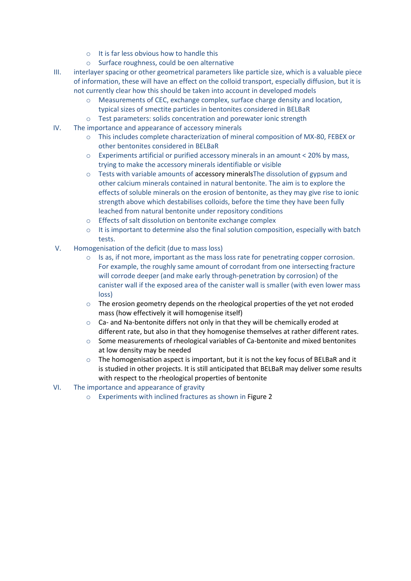- o It is far less obvious how to handle this
- o Surface roughness, could be oen alternative
- III. interlayer spacing or other geometrical parameters like particle size, which is a valuable piece of information, these will have an effect on the colloid transport, especially diffusion, but it is not currently clear how this should be taken into account in developed models
	- o Measurements of CEC, exchange complex, surface charge density and location, typical sizes of smectite particles in bentonites considered in BELBaR
	- o Test parameters: solids concentration and porewater ionic strength
- IV. The importance and appearance of accessory minerals
	- o This includes complete characterization of mineral composition of MX-80, FEBEX or other bentonites considered in BELBaR
	- $\circ$  Experiments artificial or purified accessory minerals in an amount < 20% by mass, trying to make the accessory minerals identifiable or visible
	- $\circ$  Tests with variable amounts of accessory minerals The dissolution of gypsum and other calcium minerals contained in natural bentonite. The aim is to explore the effects of soluble minerals on the erosion of bentonite, as they may give rise to ionic strength above which destabilises colloids, before the time they have been fully leached from natural bentonite under repository conditions
	- o Effects of salt dissolution on bentonite exchange complex
	- $\circ$  It is important to determine also the final solution composition, especially with batch tests.
- V. Homogenisation of the deficit (due to mass loss)
	- $\circ$  Is as, if not more, important as the mass loss rate for penetrating copper corrosion. For example, the roughly same amount of corrodant from one intersecting fracture will corrode deeper (and make early through-penetration by corrosion) of the canister wall if the exposed area of the canister wall is smaller (with even lower mass loss)
	- $\circ$  The erosion geometry depends on the rheological properties of the yet not eroded mass (how effectively it will homogenise itself)
	- $\circ$  Ca- and Na-bentonite differs not only in that they will be chemically eroded at different rate, but also in that they homogenise themselves at rather different rates.
	- $\circ$  Some measurements of rheological variables of Ca-bentonite and mixed bentonites at low density may be needed
	- $\circ$  The homogenisation aspect is important, but it is not the key focus of BELBaR and it is studied in other projects. It is still anticipated that BELBaR may deliver some results with respect to the rheological properties of bentonite
- VI. The importance and appearance of gravity
	- o Experiments with inclined fractures as shown in [Figure 2](#page-5-0)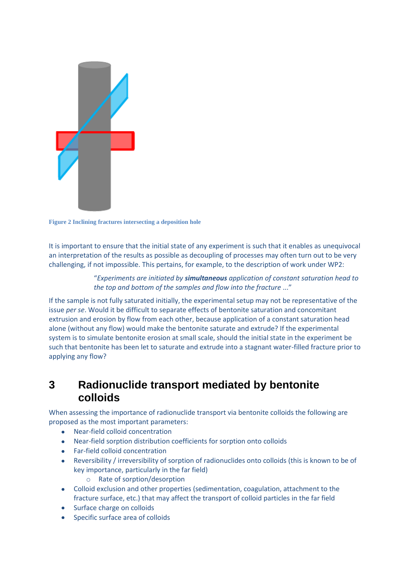

**Figure 2 Inclining fractures intersecting a deposition hole**

<span id="page-5-0"></span>It is important to ensure that the initial state of any experiment is such that it enables as unequivocal an interpretation of the results as possible as decoupling of processes may often turn out to be very challenging, if not impossible. This pertains, for example, to the description of work under WP2:

> "*Experiments are initiated by simultaneous application of constant saturation head to the top and bottom of the samples and flow into the fracture* ..."

If the sample is not fully saturated initially, the experimental setup may not be representative of the issue *per se*. Would it be difficult to separate effects of bentonite saturation and concomitant extrusion and erosion by flow from each other, because application of a constant saturation head alone (without any flow) would make the bentonite saturate and extrude? If the experimental system is to simulate bentonite erosion at small scale, should the initial state in the experiment be such that bentonite has been let to saturate and extrude into a stagnant water-filled fracture prior to applying any flow?

### **3 Radionuclide transport mediated by bentonite colloids**

When assessing the importance of radionuclide transport via bentonite colloids the following are proposed as the most important parameters:

- Near-field colloid concentration  $\bullet$
- Near-field sorption distribution coefficients for sorption onto colloids
- Far-field colloid concentration
- Reversibility / irreversibility of sorption of radionuclides onto colloids (this is known to be of key importance, particularly in the far field)
	- o Rate of sorption/desorption
- Colloid exclusion and other properties (sedimentation, coagulation, attachment to the fracture surface, etc.) that may affect the transport of colloid particles in the far field
- Surface charge on colloids
- Specific surface area of colloids